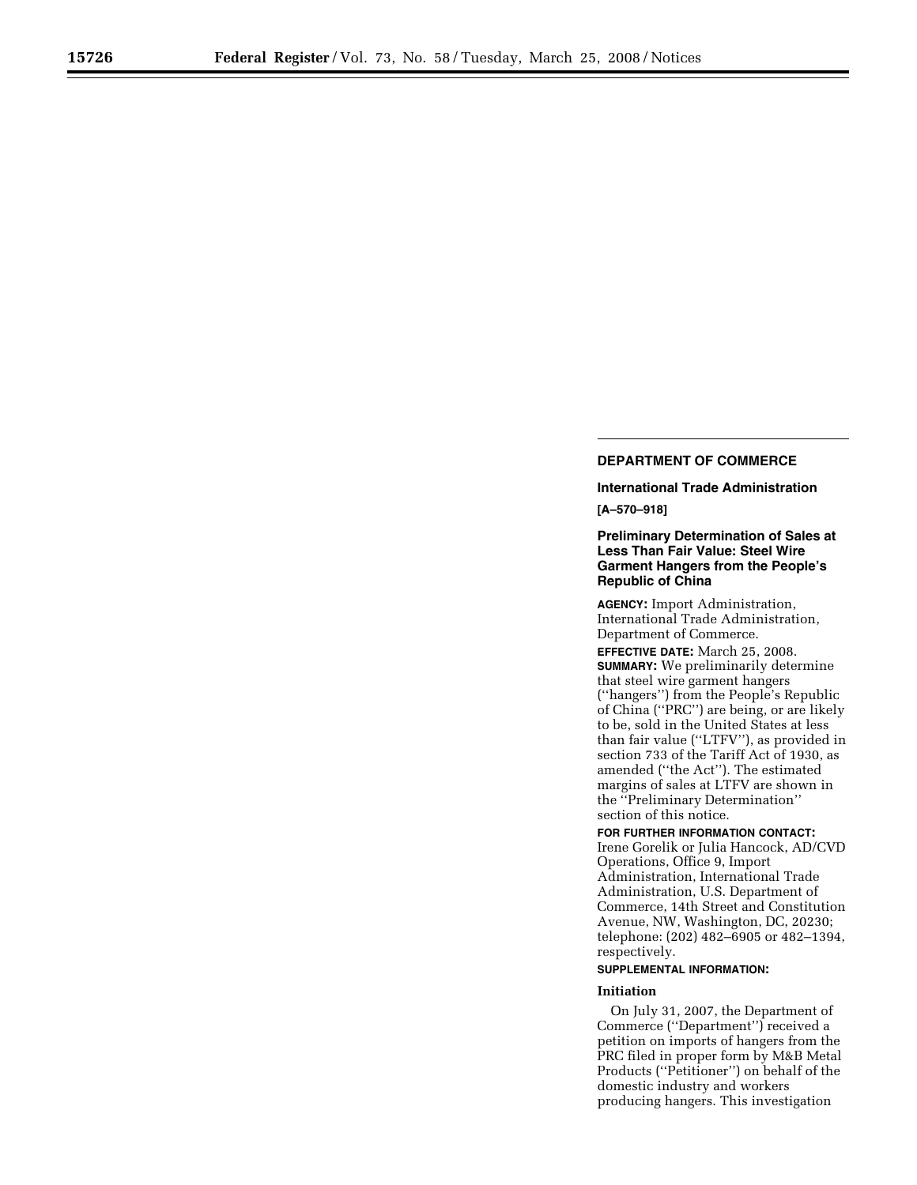# **DEPARTMENT OF COMMERCE**

# **International Trade Administration**

**[A–570–918]** 

# **Preliminary Determination of Sales at Less Than Fair Value: Steel Wire Garment Hangers from the People's Republic of China**

**AGENCY:** Import Administration, International Trade Administration, Department of Commerce.

**EFFECTIVE DATE:** March 25, 2008. **SUMMARY:** We preliminarily determine that steel wire garment hangers (''hangers'') from the People's Republic of China (''PRC'') are being, or are likely to be, sold in the United States at less than fair value (''LTFV''), as provided in section 733 of the Tariff Act of 1930, as amended (''the Act''). The estimated margins of sales at LTFV are shown in the ''Preliminary Determination'' section of this notice.

**FOR FURTHER INFORMATION CONTACT:**  Irene Gorelik or Julia Hancock, AD/CVD Operations, Office 9, Import Administration, International Trade Administration, U.S. Department of Commerce, 14th Street and Constitution Avenue, NW, Washington, DC, 20230; telephone: (202) 482–6905 or 482–1394, respectively.

# **SUPPLEMENTAL INFORMATION:**

#### **Initiation**

On July 31, 2007, the Department of Commerce (''Department'') received a petition on imports of hangers from the PRC filed in proper form by M&B Metal Products (''Petitioner'') on behalf of the domestic industry and workers producing hangers. This investigation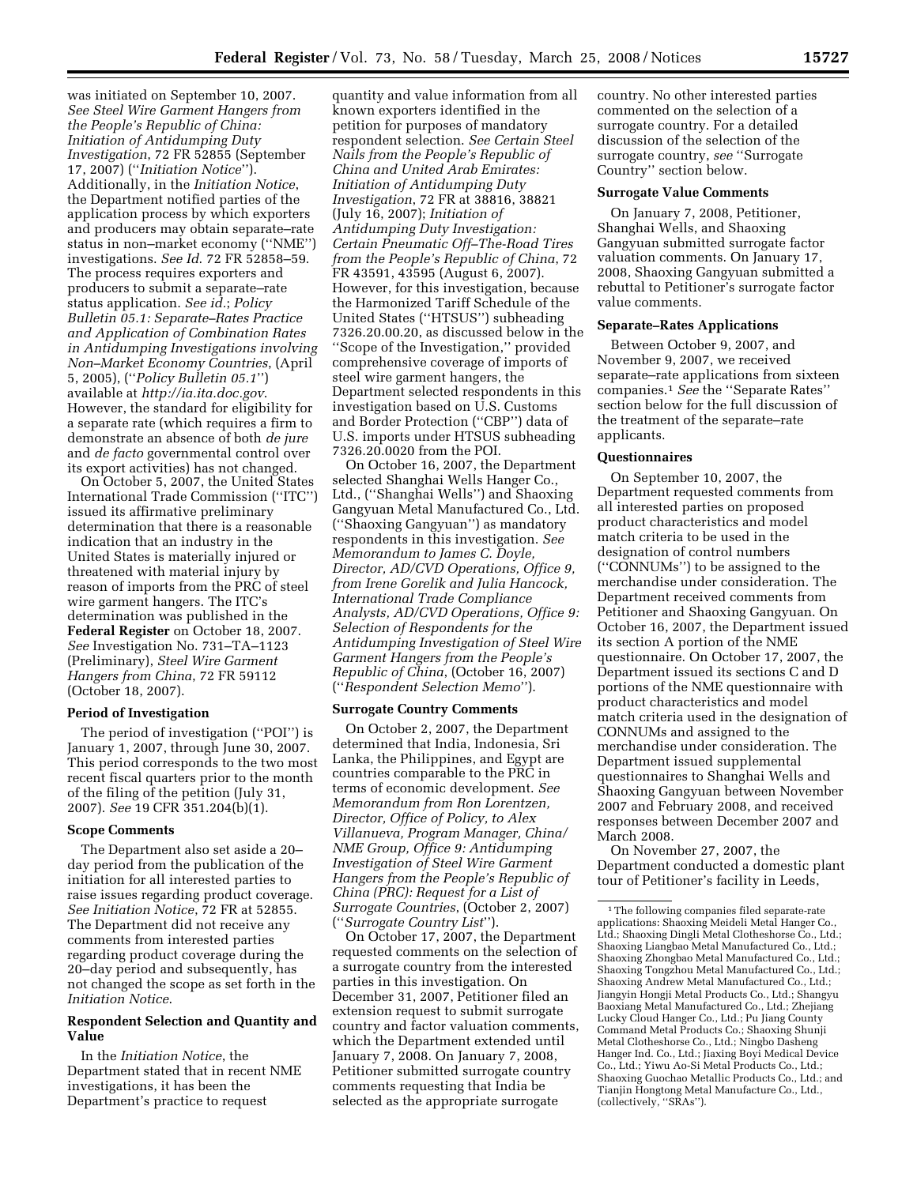was initiated on September 10, 2007. *See Steel Wire Garment Hangers from the People's Republic of China: Initiation of Antidumping Duty Investigation*, 72 FR 52855 (September 17, 2007) (''*Initiation Notice*''). Additionally, in the *Initiation Notice*, the Department notified parties of the application process by which exporters and producers may obtain separate–rate status in non–market economy (''NME'') investigations. *See Id*. 72 FR 52858–59. The process requires exporters and producers to submit a separate–rate status application. *See id.*; *Policy Bulletin 05.1: Separate–Rates Practice and Application of Combination Rates in Antidumping Investigations involving Non–Market Economy Countries*, (April 5, 2005), (''*Policy Bulletin 05.1*'') available at *http://ia.ita.doc.gov*. However, the standard for eligibility for a separate rate (which requires a firm to demonstrate an absence of both *de jure*  and *de facto* governmental control over its export activities) has not changed.

On October 5, 2007, the United States International Trade Commission (''ITC'') issued its affirmative preliminary determination that there is a reasonable indication that an industry in the United States is materially injured or threatened with material injury by reason of imports from the PRC of steel wire garment hangers. The ITC's determination was published in the **Federal Register** on October 18, 2007. *See* Investigation No. 731–TA–1123 (Preliminary), *Steel Wire Garment Hangers from China*, 72 FR 59112 (October 18, 2007).

## **Period of Investigation**

The period of investigation (''POI'') is January 1, 2007, through June 30, 2007. This period corresponds to the two most recent fiscal quarters prior to the month of the filing of the petition (July 31, 2007). *See* 19 CFR 351.204(b)(1).

#### **Scope Comments**

The Department also set aside a 20– day period from the publication of the initiation for all interested parties to raise issues regarding product coverage. *See Initiation Notice*, 72 FR at 52855. The Department did not receive any comments from interested parties regarding product coverage during the 20–day period and subsequently, has not changed the scope as set forth in the *Initiation Notice*.

# **Respondent Selection and Quantity and Value**

In the *Initiation Notice*, the Department stated that in recent NME investigations, it has been the Department's practice to request

quantity and value information from all known exporters identified in the petition for purposes of mandatory respondent selection. *See Certain Steel Nails from the People's Republic of China and United Arab Emirates: Initiation of Antidumping Duty Investigation*, 72 FR at 38816, 38821 (July 16, 2007); *Initiation of Antidumping Duty Investigation: Certain Pneumatic Off–The-Road Tires from the People's Republic of China*, 72 FR 43591, 43595 (August 6, 2007). However, for this investigation, because the Harmonized Tariff Schedule of the United States (''HTSUS'') subheading 7326.20.00.20, as discussed below in the ''Scope of the Investigation,'' provided comprehensive coverage of imports of steel wire garment hangers, the Department selected respondents in this investigation based on U.S. Customs and Border Protection (''CBP'') data of U.S. imports under HTSUS subheading 7326.20.0020 from the POI.

On October 16, 2007, the Department selected Shanghai Wells Hanger Co., Ltd., (''Shanghai Wells'') and Shaoxing Gangyuan Metal Manufactured Co., Ltd. (''Shaoxing Gangyuan'') as mandatory respondents in this investigation. *See Memorandum to James C. Doyle, Director, AD/CVD Operations, Office 9, from Irene Gorelik and Julia Hancock, International Trade Compliance Analysts, AD/CVD Operations, Office 9: Selection of Respondents for the Antidumping Investigation of Steel Wire Garment Hangers from the People's Republic of China*, (October 16, 2007) (''*Respondent Selection Memo*'').

#### **Surrogate Country Comments**

On October 2, 2007, the Department determined that India, Indonesia, Sri Lanka, the Philippines, and Egypt are countries comparable to the PRC in terms of economic development. *See Memorandum from Ron Lorentzen, Director, Office of Policy, to Alex Villanueva, Program Manager, China/ NME Group, Office 9: Antidumping Investigation of Steel Wire Garment Hangers from the People's Republic of China (PRC): Request for a List of Surrogate Countries*, (October 2, 2007) (''*Surrogate Country List*'').

On October 17, 2007, the Department requested comments on the selection of a surrogate country from the interested parties in this investigation. On December 31, 2007, Petitioner filed an extension request to submit surrogate country and factor valuation comments, which the Department extended until January 7, 2008. On January 7, 2008, Petitioner submitted surrogate country comments requesting that India be selected as the appropriate surrogate

country. No other interested parties commented on the selection of a surrogate country. For a detailed discussion of the selection of the surrogate country, *see* ''Surrogate Country'' section below.

#### **Surrogate Value Comments**

On January 7, 2008, Petitioner, Shanghai Wells, and Shaoxing Gangyuan submitted surrogate factor valuation comments. On January 17, 2008, Shaoxing Gangyuan submitted a rebuttal to Petitioner's surrogate factor value comments.

#### **Separate–Rates Applications**

Between October 9, 2007, and November 9, 2007, we received separate–rate applications from sixteen companies.1 *See* the ''Separate Rates'' section below for the full discussion of the treatment of the separate–rate applicants.

## **Questionnaires**

On September 10, 2007, the Department requested comments from all interested parties on proposed product characteristics and model match criteria to be used in the designation of control numbers (''CONNUMs'') to be assigned to the merchandise under consideration. The Department received comments from Petitioner and Shaoxing Gangyuan. On October 16, 2007, the Department issued its section A portion of the NME questionnaire. On October 17, 2007, the Department issued its sections C and D portions of the NME questionnaire with product characteristics and model match criteria used in the designation of CONNUMs and assigned to the merchandise under consideration. The Department issued supplemental questionnaires to Shanghai Wells and Shaoxing Gangyuan between November 2007 and February 2008, and received responses between December 2007 and March 2008.

On November 27, 2007, the Department conducted a domestic plant tour of Petitioner's facility in Leeds,

 $^{\rm 1}\!$  The following companies filed separate-rate applications: Shaoxing Meideli Metal Hanger Co., Ltd.; Shaoxing Dingli Metal Clotheshorse Co., Ltd.; Shaoxing Liangbao Metal Manufactured Co., Ltd.; Shaoxing Zhongbao Metal Manufactured Co., Ltd.; Shaoxing Tongzhou Metal Manufactured Co., Ltd.; Shaoxing Andrew Metal Manufactured Co., Ltd.; Jiangyin Hongji Metal Products Co., Ltd.; Shangyu Baoxiang Metal Manufactured Co., Ltd.; Zhejiang Lucky Cloud Hanger Co., Ltd.; Pu Jiang County Command Metal Products Co.; Shaoxing Shunji Metal Clotheshorse Co., Ltd.; Ningbo Dasheng Hanger Ind. Co., Ltd.; Jiaxing Boyi Medical Device Co., Ltd.; Yiwu Ao-Si Metal Products Co., Ltd.; Shaoxing Guochao Metallic Products Co., Ltd.; and Tianjin Hongtong Metal Manufacture Co., Ltd., (collectively, ''SRAs'').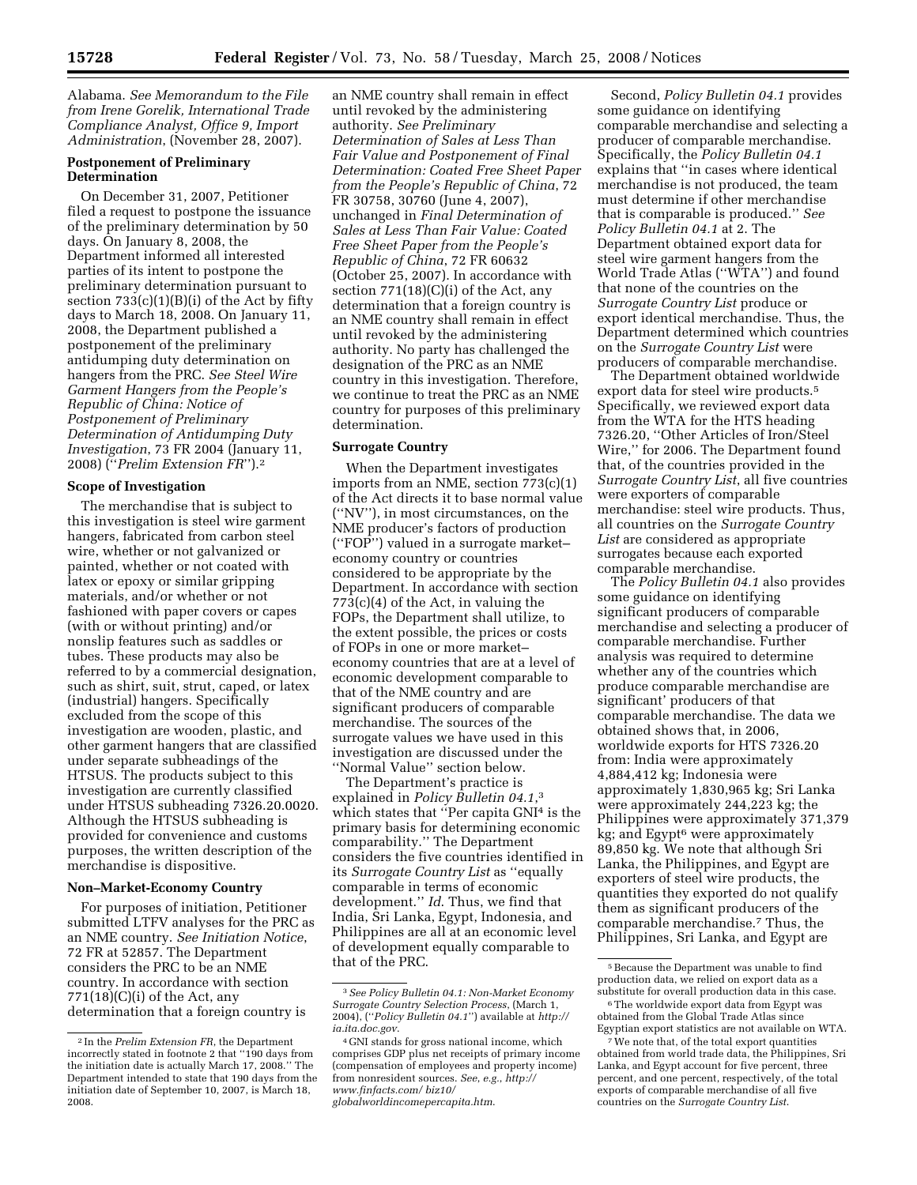Alabama. *See Memorandum to the File from Irene Gorelik, International Trade Compliance Analyst, Office 9, Import Administration*, (November 28, 2007).

## **Postponement of Preliminary Determination**

On December 31, 2007, Petitioner filed a request to postpone the issuance of the preliminary determination by 50 days. On January 8, 2008, the Department informed all interested parties of its intent to postpone the preliminary determination pursuant to section  $733(c)(1)(B)(i)$  of the Act by fifty days to March 18, 2008. On January 11, 2008, the Department published a postponement of the preliminary antidumping duty determination on hangers from the PRC. *See Steel Wire Garment Hangers from the People's Republic of China: Notice of Postponement of Preliminary Determination of Antidumping Duty Investigation*, 73 FR 2004 (January 11, 2008) (''*Prelim Extension FR*'').2

#### **Scope of Investigation**

The merchandise that is subject to this investigation is steel wire garment hangers, fabricated from carbon steel wire, whether or not galvanized or painted, whether or not coated with latex or epoxy or similar gripping materials, and/or whether or not fashioned with paper covers or capes (with or without printing) and/or nonslip features such as saddles or tubes. These products may also be referred to by a commercial designation, such as shirt, suit, strut, caped, or latex (industrial) hangers. Specifically excluded from the scope of this investigation are wooden, plastic, and other garment hangers that are classified under separate subheadings of the HTSUS. The products subject to this investigation are currently classified under HTSUS subheading 7326.20.0020. Although the HTSUS subheading is provided for convenience and customs purposes, the written description of the merchandise is dispositive.

## **Non–Market-Economy Country**

For purposes of initiation, Petitioner submitted LTFV analyses for the PRC as an NME country. *See Initiation Notice*, 72 FR at 52857. The Department considers the PRC to be an NME country. In accordance with section  $771(18)(C)(i)$  of the Act, any determination that a foreign country is

an NME country shall remain in effect until revoked by the administering authority. *See Preliminary Determination of Sales at Less Than Fair Value and Postponement of Final Determination: Coated Free Sheet Paper from the People's Republic of China*, 72 FR 30758, 30760 (June 4, 2007), unchanged in *Final Determination of Sales at Less Than Fair Value: Coated Free Sheet Paper from the People's Republic of China*, 72 FR 60632 (October 25, 2007). In accordance with section 771(18)(C)(i) of the Act, any determination that a foreign country is an NME country shall remain in effect until revoked by the administering authority. No party has challenged the designation of the PRC as an NME country in this investigation. Therefore, we continue to treat the PRC as an NME country for purposes of this preliminary determination.

#### **Surrogate Country**

When the Department investigates imports from an NME, section 773(c)(1) of the Act directs it to base normal value (''NV''), in most circumstances, on the NME producer's factors of production (''FOP'') valued in a surrogate market– economy country or countries considered to be appropriate by the Department. In accordance with section 773(c)(4) of the Act, in valuing the FOPs, the Department shall utilize, to the extent possible, the prices or costs of FOPs in one or more market– economy countries that are at a level of economic development comparable to that of the NME country and are significant producers of comparable merchandise. The sources of the surrogate values we have used in this investigation are discussed under the ''Normal Value'' section below.

The Department's practice is explained in *Policy Bulletin 04.1*,3 which states that ''Per capita GNI4 is the primary basis for determining economic comparability.'' The Department considers the five countries identified in its *Surrogate Country List* as ''equally comparable in terms of economic development.'' *Id*. Thus, we find that India, Sri Lanka, Egypt, Indonesia, and Philippines are all at an economic level of development equally comparable to that of the PRC.

Second, *Policy Bulletin 04.1* provides some guidance on identifying comparable merchandise and selecting a producer of comparable merchandise. Specifically, the *Policy Bulletin 04.1*  explains that ''in cases where identical merchandise is not produced, the team must determine if other merchandise that is comparable is produced.'' *See Policy Bulletin 04.1* at 2. The Department obtained export data for steel wire garment hangers from the World Trade Atlas (''WTA'') and found that none of the countries on the *Surrogate Country List* produce or export identical merchandise. Thus, the Department determined which countries on the *Surrogate Country List* were producers of comparable merchandise.

The Department obtained worldwide export data for steel wire products.5 Specifically, we reviewed export data from the WTA for the HTS heading 7326.20, ''Other Articles of Iron/Steel Wire,'' for 2006. The Department found that, of the countries provided in the *Surrogate Country List*, all five countries were exporters of comparable merchandise: steel wire products. Thus, all countries on the *Surrogate Country*  List are considered as appropriate surrogates because each exported comparable merchandise.

The *Policy Bulletin 04.1* also provides some guidance on identifying significant producers of comparable merchandise and selecting a producer of comparable merchandise. Further analysis was required to determine whether any of the countries which produce comparable merchandise are significant' producers of that comparable merchandise. The data we obtained shows that, in 2006, worldwide exports for HTS 7326.20 from: India were approximately 4,884,412 kg; Indonesia were approximately 1,830,965 kg; Sri Lanka were approximately 244,223 kg; the Philippines were approximately 371,379 kg; and Egypt<sup>6</sup> were approximately 89,850 kg. We note that although Sri Lanka, the Philippines, and Egypt are exporters of steel wire products, the quantities they exported do not qualify them as significant producers of the comparable merchandise.7 Thus, the Philippines, Sri Lanka, and Egypt are

<sup>2</sup> In the *Prelim Extension FR*, the Department incorrectly stated in footnote 2 that ''190 days from the initiation date is actually March 17, 2008.'' The Department intended to state that 190 days from the initiation date of September 10, 2007, is March 18, 2008.

<sup>3</sup>*See Policy Bulletin 04.1: Non-Market Economy Surrogate Country Selection Process*, (March 1, 2004), (''*Policy Bulletin 04.1*'') available at *http:// ia.ita.doc.gov*.

<sup>4</sup> GNI stands for gross national income, which comprises GDP plus net receipts of primary income (compensation of employees and property income) from nonresident sources. *See*, *e.g.*, *http:// www.finfacts.com/ biz10/ globalworldincomepercapita.htm*.

<sup>5</sup>Because the Department was unable to find production data, we relied on export data as a substitute for overall production data in this case.

<sup>6</sup>The worldwide export data from Egypt was obtained from the Global Trade Atlas since Egyptian export statistics are not available on WTA.

<sup>7</sup>We note that, of the total export quantities obtained from world trade data, the Philippines, Sri Lanka, and Egypt account for five percent, three percent, and one percent, respectively, of the total exports of comparable merchandise of all five countries on the *Surrogate Country List*.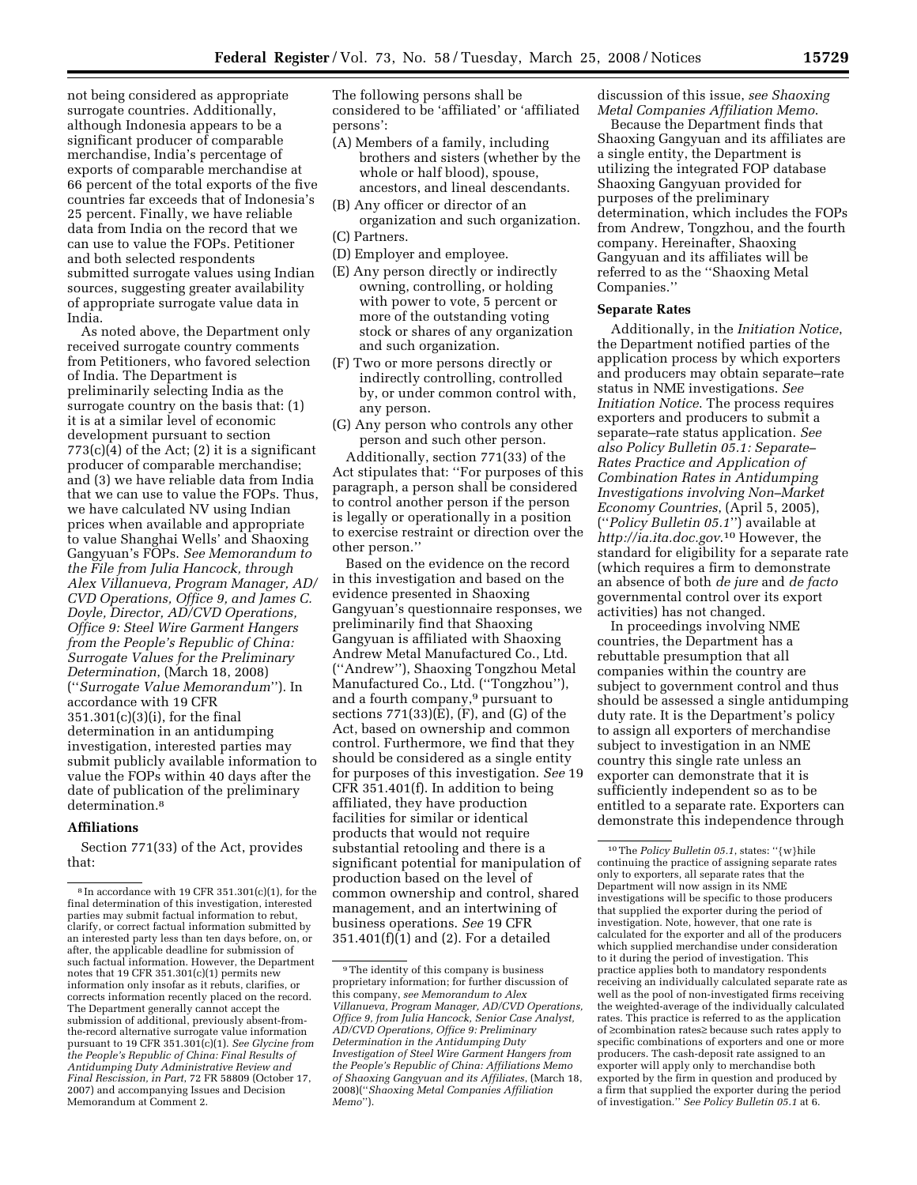not being considered as appropriate surrogate countries. Additionally, although Indonesia appears to be a significant producer of comparable merchandise, India's percentage of exports of comparable merchandise at 66 percent of the total exports of the five countries far exceeds that of Indonesia's 25 percent. Finally, we have reliable data from India on the record that we can use to value the FOPs. Petitioner and both selected respondents submitted surrogate values using Indian sources, suggesting greater availability of appropriate surrogate value data in India.

As noted above, the Department only received surrogate country comments from Petitioners, who favored selection of India. The Department is preliminarily selecting India as the surrogate country on the basis that: (1) it is at a similar level of economic development pursuant to section  $773(c)(4)$  of the Act; (2) it is a significant producer of comparable merchandise; and (3) we have reliable data from India that we can use to value the FOPs. Thus, we have calculated NV using Indian prices when available and appropriate to value Shanghai Wells' and Shaoxing Gangyuan's FOPs. *See Memorandum to the File from Julia Hancock, through Alex Villanueva, Program Manager, AD/ CVD Operations, Office 9, and James C. Doyle, Director, AD/CVD Operations, Office 9: Steel Wire Garment Hangers from the People's Republic of China: Surrogate Values for the Preliminary Determination*, (March 18, 2008) (''*Surrogate Value Memorandum*''). In accordance with 19 CFR 351.301(c)(3)(i), for the final determination in an antidumping investigation, interested parties may submit publicly available information to value the FOPs within 40 days after the date of publication of the preliminary determination.<sup>8</sup>

## **Affiliations**

Section 771(33) of the Act, provides that:

The following persons shall be considered to be 'affiliated' or 'affiliated persons':

- (A) Members of a family, including brothers and sisters (whether by the whole or half blood), spouse, ancestors, and lineal descendants.
- (B) Any officer or director of an organization and such organization.
- (C) Partners.
- (D) Employer and employee.
- (E) Any person directly or indirectly owning, controlling, or holding with power to vote, 5 percent or more of the outstanding voting stock or shares of any organization and such organization.
- (F) Two or more persons directly or indirectly controlling, controlled by, or under common control with, any person.
- (G) Any person who controls any other person and such other person.

Additionally, section 771(33) of the Act stipulates that: ''For purposes of this paragraph, a person shall be considered to control another person if the person is legally or operationally in a position to exercise restraint or direction over the other person.''

Based on the evidence on the record in this investigation and based on the evidence presented in Shaoxing Gangyuan's questionnaire responses, we preliminarily find that Shaoxing Gangyuan is affiliated with Shaoxing Andrew Metal Manufactured Co., Ltd. (''Andrew''), Shaoxing Tongzhou Metal Manufactured Co., Ltd. (''Tongzhou''), and a fourth company,9 pursuant to sections  $771(33)(E)$ ,  $(F)$ , and  $(G)$  of the Act, based on ownership and common control. Furthermore, we find that they should be considered as a single entity for purposes of this investigation. *See* 19 CFR 351.401(f). In addition to being affiliated, they have production facilities for similar or identical products that would not require substantial retooling and there is a significant potential for manipulation of production based on the level of common ownership and control, shared management, and an intertwining of business operations. *See* 19 CFR 351.401(f)(1) and (2). For a detailed

discussion of this issue, *see Shaoxing Metal Companies Affiliation Memo*. Because the Department finds that Shaoxing Gangyuan and its affiliates are a single entity, the Department is utilizing the integrated FOP database Shaoxing Gangyuan provided for purposes of the preliminary determination, which includes the FOPs from Andrew, Tongzhou, and the fourth company. Hereinafter, Shaoxing Gangyuan and its affiliates will be referred to as the ''Shaoxing Metal Companies.''

# **Separate Rates**

Additionally, in the *Initiation Notice*, the Department notified parties of the application process by which exporters and producers may obtain separate–rate status in NME investigations. *See Initiation Notice*. The process requires exporters and producers to submit a separate–rate status application. *See also Policy Bulletin 05.1: Separate– Rates Practice and Application of Combination Rates in Antidumping Investigations involving Non–Market Economy Countries*, (April 5, 2005), (''*Policy Bulletin 05.1*'') available at *http://ia.ita.doc.gov*.10 However, the standard for eligibility for a separate rate (which requires a firm to demonstrate an absence of both *de jure* and *de facto*  governmental control over its export activities) has not changed.

In proceedings involving NME countries, the Department has a rebuttable presumption that all companies within the country are subject to government control and thus should be assessed a single antidumping duty rate. It is the Department's policy to assign all exporters of merchandise subject to investigation in an NME country this single rate unless an exporter can demonstrate that it is sufficiently independent so as to be entitled to a separate rate. Exporters can demonstrate this independence through

 $8 \text{ In accordance with } 19 \text{ CFR } 351.301(c)(1), \text{ for the}$ final determination of this investigation, interested parties may submit factual information to rebut, clarify, or correct factual information submitted by an interested party less than ten days before, on, or after, the applicable deadline for submission of such factual information. However, the Department notes that 19 CFR 351.301(c)(1) permits new information only insofar as it rebuts, clarifies, or corrects information recently placed on the record. The Department generally cannot accept the submission of additional, previously absent-fromthe-record alternative surrogate value information pursuant to 19 CFR 351.301(c)(1). *See Glycine from the People's Republic of China: Final Results of Antidumping Duty Administrative Review and Final Rescission, in Part*, 72 FR 58809 (October 17, 2007) and accompanying Issues and Decision Memorandum at Comment 2.

<sup>9</sup>The identity of this company is business proprietary information; for further discussion of this company, *see Memorandum to Alex Villanueva, Program Manager, AD/CVD Operations, Office 9, from Julia Hancock, Senior Case Analyst, AD/CVD Operations, Office 9: Preliminary Determination in the Antidumping Duty Investigation of Steel Wire Garment Hangers from the People's Republic of China: Affiliations Memo of Shaoxing Gangyuan and its Affiliates*, (March 18, 2008)(''*Shaoxing Metal Companies Affiliation Memo*'').

<sup>10</sup>The *Policy Bulletin 05.1*, states: ''{w}hile continuing the practice of assigning separate rates only to exporters, all separate rates that the Department will now assign in its NME investigations will be specific to those producers that supplied the exporter during the period of investigation. Note, however, that one rate is calculated for the exporter and all of the producers which supplied merchandise under consideration to it during the period of investigation. This practice applies both to mandatory respondents receiving an individually calculated separate rate as well as the pool of non-investigated firms receiving the weighted-average of the individually calculated rates. This practice is referred to as the application of ≥combination rates≥ because such rates apply to specific combinations of exporters and one or more producers. The cash-deposit rate assigned to an exporter will apply only to merchandise both exported by the firm in question and produced by a firm that supplied the exporter during the period of investigation.'' *See Policy Bulletin 05.1* at 6.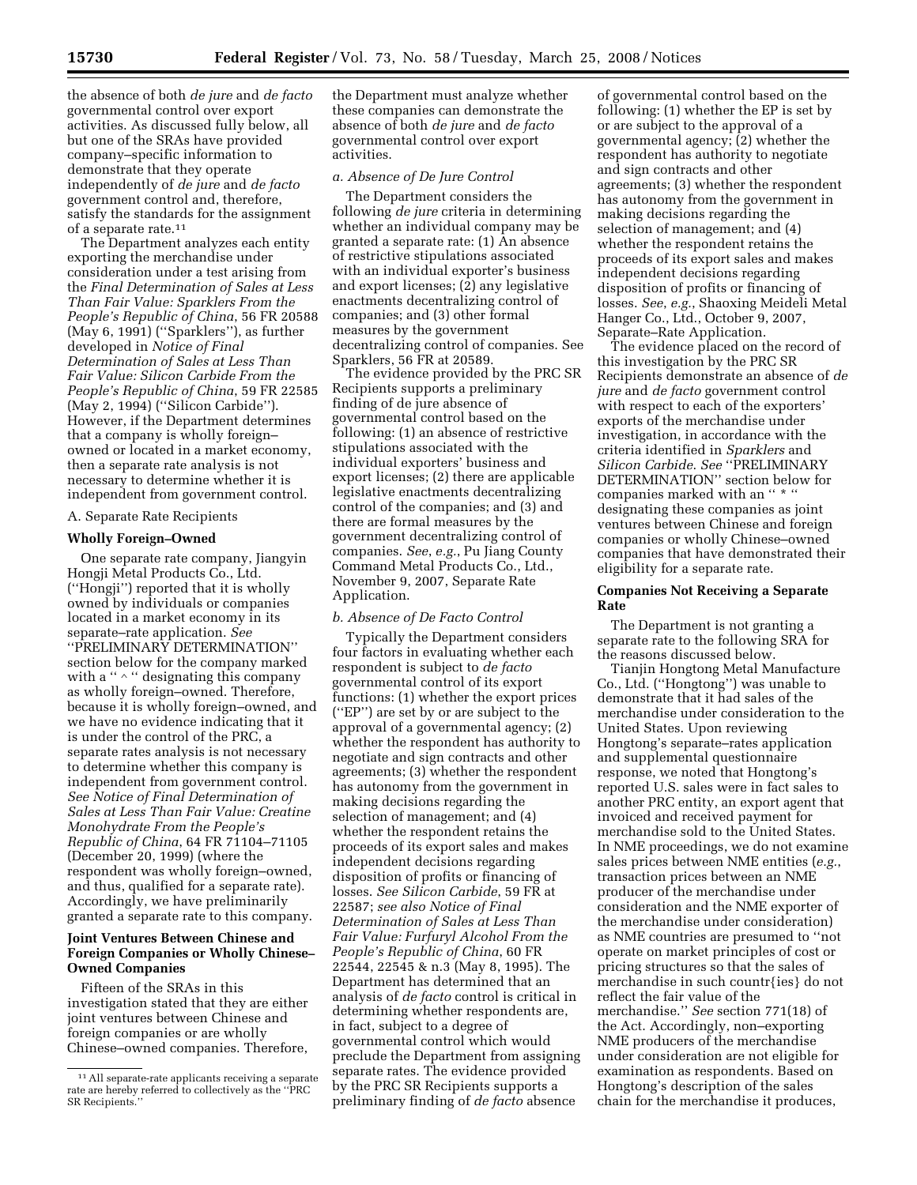the absence of both *de jure* and *de facto*  governmental control over export activities. As discussed fully below, all but one of the SRAs have provided company–specific information to demonstrate that they operate independently of *de jure* and *de facto*  government control and, therefore, satisfy the standards for the assignment of a separate rate.11

The Department analyzes each entity exporting the merchandise under consideration under a test arising from the *Final Determination of Sales at Less Than Fair Value: Sparklers From the People's Republic of China*, 56 FR 20588 (May 6, 1991) (''Sparklers''), as further developed in *Notice of Final Determination of Sales at Less Than Fair Value: Silicon Carbide From the People's Republic of China*, 59 FR 22585 (May 2, 1994) (''Silicon Carbide''). However, if the Department determines that a company is wholly foreign– owned or located in a market economy, then a separate rate analysis is not necessary to determine whether it is independent from government control.

# A. Separate Rate Recipients

#### **Wholly Foreign–Owned**

One separate rate company, Jiangyin Hongji Metal Products Co., Ltd. (''Hongji'') reported that it is wholly owned by individuals or companies located in a market economy in its separate–rate application. *See*  ''PRELIMINARY DETERMINATION'' section below for the company marked with a ''  $\wedge$  '' designating this company as wholly foreign–owned. Therefore, because it is wholly foreign–owned, and we have no evidence indicating that it is under the control of the PRC, a separate rates analysis is not necessary to determine whether this company is independent from government control. *See Notice of Final Determination of Sales at Less Than Fair Value: Creatine Monohydrate From the People's Republic of China*, 64 FR 71104–71105 (December 20, 1999) (where the respondent was wholly foreign–owned, and thus, qualified for a separate rate). Accordingly, we have preliminarily granted a separate rate to this company.

# **Joint Ventures Between Chinese and Foreign Companies or Wholly Chinese– Owned Companies**

Fifteen of the SRAs in this investigation stated that they are either joint ventures between Chinese and foreign companies or are wholly Chinese–owned companies. Therefore,

the Department must analyze whether these companies can demonstrate the absence of both *de jure* and *de facto*  governmental control over export activities.

## *a. Absence of De Jure Control*

The Department considers the following *de jure* criteria in determining whether an individual company may be granted a separate rate: (1) An absence of restrictive stipulations associated with an individual exporter's business and export licenses; (2) any legislative enactments decentralizing control of companies; and (3) other formal measures by the government decentralizing control of companies. See Sparklers, 56 FR at 20589.

The evidence provided by the PRC SR Recipients supports a preliminary finding of de jure absence of governmental control based on the following: (1) an absence of restrictive stipulations associated with the individual exporters' business and export licenses; (2) there are applicable legislative enactments decentralizing control of the companies; and (3) and there are formal measures by the government decentralizing control of companies. *See*, *e.g.*, Pu Jiang County Command Metal Products Co., Ltd., November 9, 2007, Separate Rate Application.

## *b. Absence of De Facto Control*

Typically the Department considers four factors in evaluating whether each respondent is subject to *de facto*  governmental control of its export functions: (1) whether the export prices (''EP'') are set by or are subject to the approval of a governmental agency; (2) whether the respondent has authority to negotiate and sign contracts and other agreements; (3) whether the respondent has autonomy from the government in making decisions regarding the selection of management; and (4) whether the respondent retains the proceeds of its export sales and makes independent decisions regarding disposition of profits or financing of losses. *See Silicon Carbide*, 59 FR at 22587; *see also Notice of Final Determination of Sales at Less Than Fair Value: Furfuryl Alcohol From the People's Republic of China*, 60 FR 22544, 22545 & n.3 (May 8, 1995). The Department has determined that an analysis of *de facto* control is critical in determining whether respondents are, in fact, subject to a degree of governmental control which would preclude the Department from assigning separate rates. The evidence provided by the PRC SR Recipients supports a preliminary finding of *de facto* absence

of governmental control based on the following: (1) whether the EP is set by or are subject to the approval of a governmental agency; (2) whether the respondent has authority to negotiate and sign contracts and other agreements; (3) whether the respondent has autonomy from the government in making decisions regarding the selection of management; and (4) whether the respondent retains the proceeds of its export sales and makes independent decisions regarding disposition of profits or financing of losses. *See*, *e.g.*, Shaoxing Meideli Metal Hanger Co., Ltd., October 9, 2007, Separate–Rate Application.

The evidence placed on the record of this investigation by the PRC SR Recipients demonstrate an absence of *de jure* and *de facto* government control with respect to each of the exporters' exports of the merchandise under investigation, in accordance with the criteria identified in *Sparklers* and *Silicon Carbide*. *See* ''PRELIMINARY DETERMINATION'' section below for companies marked with an " \* " designating these companies as joint ventures between Chinese and foreign companies or wholly Chinese–owned companies that have demonstrated their eligibility for a separate rate.

## **Companies Not Receiving a Separate Rate**

The Department is not granting a separate rate to the following SRA for the reasons discussed below.

Tianjin Hongtong Metal Manufacture Co., Ltd. (''Hongtong'') was unable to demonstrate that it had sales of the merchandise under consideration to the United States. Upon reviewing Hongtong's separate–rates application and supplemental questionnaire response, we noted that Hongtong's reported U.S. sales were in fact sales to another PRC entity, an export agent that invoiced and received payment for merchandise sold to the United States. In NME proceedings, we do not examine sales prices between NME entities (*e.g.*, transaction prices between an NME producer of the merchandise under consideration and the NME exporter of the merchandise under consideration) as NME countries are presumed to ''not operate on market principles of cost or pricing structures so that the sales of merchandise in such countr{ies} do not reflect the fair value of the merchandise.'' *See* section 771(18) of the Act. Accordingly, non–exporting NME producers of the merchandise under consideration are not eligible for examination as respondents. Based on Hongtong's description of the sales chain for the merchandise it produces,

<sup>11</sup>All separate-rate applicants receiving a separate rate are hereby referred to collectively as the ''PRC SR Recipients.''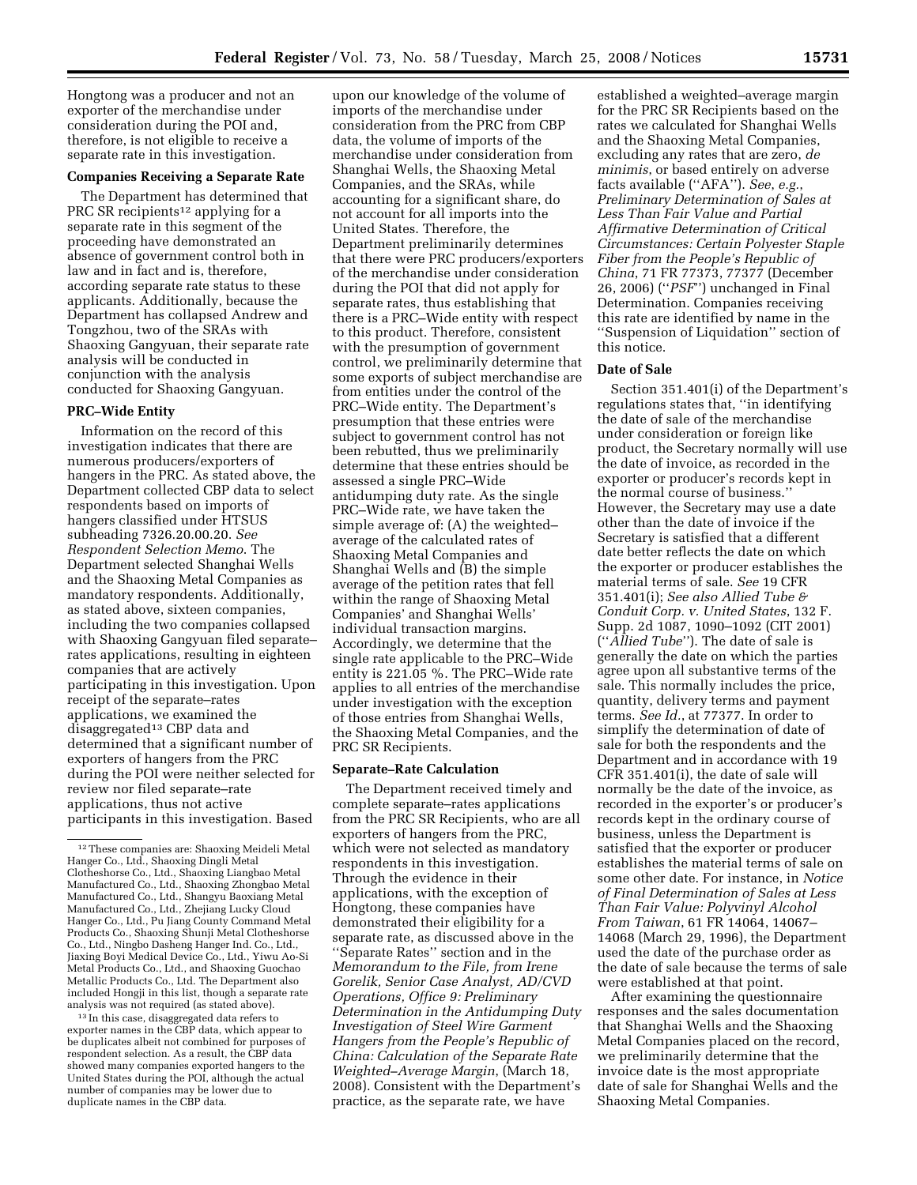Hongtong was a producer and not an exporter of the merchandise under consideration during the POI and, therefore, is not eligible to receive a separate rate in this investigation.

# **Companies Receiving a Separate Rate**

The Department has determined that PRC SR recipients<sup>12</sup> applying for a separate rate in this segment of the proceeding have demonstrated an absence of government control both in law and in fact and is, therefore, according separate rate status to these applicants. Additionally, because the Department has collapsed Andrew and Tongzhou, two of the SRAs with Shaoxing Gangyuan, their separate rate analysis will be conducted in conjunction with the analysis conducted for Shaoxing Gangyuan.

## **PRC–Wide Entity**

Information on the record of this investigation indicates that there are numerous producers/exporters of hangers in the PRC. As stated above, the Department collected CBP data to select respondents based on imports of hangers classified under HTSUS subheading 7326.20.00.20. *See Respondent Selection Memo*. The Department selected Shanghai Wells and the Shaoxing Metal Companies as mandatory respondents. Additionally, as stated above, sixteen companies, including the two companies collapsed with Shaoxing Gangyuan filed separate– rates applications, resulting in eighteen companies that are actively participating in this investigation. Upon receipt of the separate–rates applications, we examined the disaggregated<sup>13</sup> CBP data and determined that a significant number of exporters of hangers from the PRC during the POI were neither selected for review nor filed separate–rate applications, thus not active participants in this investigation. Based

13 In this case, disaggregated data refers to exporter names in the CBP data, which appear to be duplicates albeit not combined for purposes of respondent selection. As a result, the CBP data showed many companies exported hangers to the United States during the POI, although the actual number of companies may be lower due to duplicate names in the CBP data.

upon our knowledge of the volume of imports of the merchandise under consideration from the PRC from CBP data, the volume of imports of the merchandise under consideration from Shanghai Wells, the Shaoxing Metal Companies, and the SRAs, while accounting for a significant share, do not account for all imports into the United States. Therefore, the Department preliminarily determines that there were PRC producers/exporters of the merchandise under consideration during the POI that did not apply for separate rates, thus establishing that there is a PRC–Wide entity with respect to this product. Therefore, consistent with the presumption of government control, we preliminarily determine that some exports of subject merchandise are from entities under the control of the PRC–Wide entity. The Department's presumption that these entries were subject to government control has not been rebutted, thus we preliminarily determine that these entries should be assessed a single PRC–Wide antidumping duty rate. As the single PRC–Wide rate, we have taken the simple average of: (A) the weighted– average of the calculated rates of Shaoxing Metal Companies and Shanghai Wells and (B) the simple average of the petition rates that fell within the range of Shaoxing Metal Companies' and Shanghai Wells' individual transaction margins. Accordingly, we determine that the single rate applicable to the PRC–Wide entity is 221.05 %. The PRC–Wide rate applies to all entries of the merchandise under investigation with the exception of those entries from Shanghai Wells, the Shaoxing Metal Companies, and the PRC SR Recipients.

#### **Separate–Rate Calculation**

The Department received timely and complete separate–rates applications from the PRC SR Recipients, who are all exporters of hangers from the PRC, which were not selected as mandatory respondents in this investigation. Through the evidence in their applications, with the exception of Hongtong, these companies have demonstrated their eligibility for a separate rate, as discussed above in the ''Separate Rates'' section and in the *Memorandum to the File, from Irene Gorelik, Senior Case Analyst, AD/CVD Operations, Office 9: Preliminary Determination in the Antidumping Duty Investigation of Steel Wire Garment Hangers from the People's Republic of China: Calculation of the Separate Rate Weighted–Average Margin*, (March 18, 2008). Consistent with the Department's practice, as the separate rate, we have

established a weighted–average margin for the PRC SR Recipients based on the rates we calculated for Shanghai Wells and the Shaoxing Metal Companies, excluding any rates that are zero, *de minimis*, or based entirely on adverse facts available (''AFA''). *See*, *e.g.*, *Preliminary Determination of Sales at Less Than Fair Value and Partial Affirmative Determination of Critical Circumstances: Certain Polyester Staple Fiber from the People's Republic of China*, 71 FR 77373, 77377 (December 26, 2006) (''*PSF*'') unchanged in Final Determination. Companies receiving this rate are identified by name in the ''Suspension of Liquidation'' section of this notice.

## **Date of Sale**

Section 351.401(i) of the Department's regulations states that, ''in identifying the date of sale of the merchandise under consideration or foreign like product, the Secretary normally will use the date of invoice, as recorded in the exporter or producer's records kept in the normal course of business.'' However, the Secretary may use a date other than the date of invoice if the Secretary is satisfied that a different date better reflects the date on which the exporter or producer establishes the material terms of sale. *See* 19 CFR 351.401(i); *See also Allied Tube & Conduit Corp. v. United States*, 132 F. Supp. 2d 1087, 1090–1092 (CIT 2001) (''*Allied Tube*''). The date of sale is generally the date on which the parties agree upon all substantive terms of the sale. This normally includes the price, quantity, delivery terms and payment terms. *See Id.*, at 77377. In order to simplify the determination of date of sale for both the respondents and the Department and in accordance with 19 CFR 351.401(i), the date of sale will normally be the date of the invoice, as recorded in the exporter's or producer's records kept in the ordinary course of business, unless the Department is satisfied that the exporter or producer establishes the material terms of sale on some other date. For instance, in *Notice of Final Determination of Sales at Less Than Fair Value: Polyvinyl Alcohol From Taiwan*, 61 FR 14064, 14067– 14068 (March 29, 1996), the Department used the date of the purchase order as the date of sale because the terms of sale were established at that point.

After examining the questionnaire responses and the sales documentation that Shanghai Wells and the Shaoxing Metal Companies placed on the record, we preliminarily determine that the invoice date is the most appropriate date of sale for Shanghai Wells and the Shaoxing Metal Companies.

<sup>12</sup>These companies are: Shaoxing Meideli Metal Hanger Co., Ltd., Shaoxing Dingli Metal Clotheshorse Co., Ltd., Shaoxing Liangbao Metal Manufactured Co., Ltd., Shaoxing Zhongbao Metal Manufactured Co., Ltd., Shangyu Baoxiang Metal Manufactured Co., Ltd., Zhejiang Lucky Cloud Hanger Co., Ltd., Pu Jiang County Command Metal Products Co., Shaoxing Shunji Metal Clotheshorse Co., Ltd., Ningbo Dasheng Hanger Ind. Co., Ltd., Jiaxing Boyi Medical Device Co., Ltd., Yiwu Ao-Si Metal Products Co., Ltd., and Shaoxing Guochao Metallic Products Co., Ltd. The Department also included Hongji in this list, though a separate rate analysis was not required (as stated above).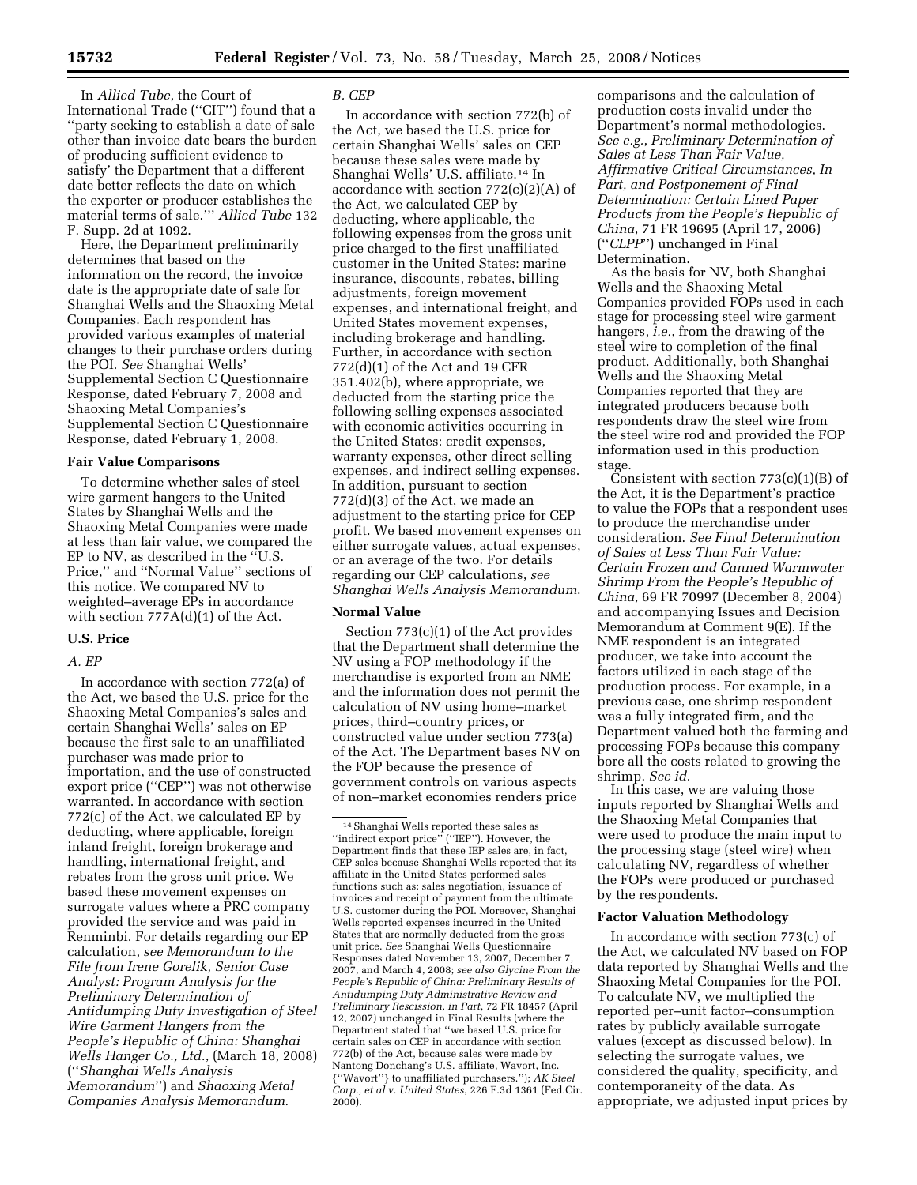In *Allied Tube*, the Court of International Trade (''CIT'') found that a ''party seeking to establish a date of sale other than invoice date bears the burden of producing sufficient evidence to satisfy' the Department that a different date better reflects the date on which the exporter or producer establishes the material terms of sale.''' *Allied Tube* 132 F. Supp. 2d at 1092.

Here, the Department preliminarily determines that based on the information on the record, the invoice date is the appropriate date of sale for Shanghai Wells and the Shaoxing Metal Companies. Each respondent has provided various examples of material changes to their purchase orders during the POI. *See* Shanghai Wells' Supplemental Section C Questionnaire Response, dated February 7, 2008 and Shaoxing Metal Companies's Supplemental Section C Questionnaire Response, dated February 1, 2008.

## **Fair Value Comparisons**

To determine whether sales of steel wire garment hangers to the United States by Shanghai Wells and the Shaoxing Metal Companies were made at less than fair value, we compared the EP to NV, as described in the ''U.S. Price,'' and ''Normal Value'' sections of this notice. We compared NV to weighted–average EPs in accordance with section 777A(d)(1) of the Act.

# **U.S. Price**

# *A. EP*

In accordance with section 772(a) of the Act, we based the U.S. price for the Shaoxing Metal Companies's sales and certain Shanghai Wells' sales on EP because the first sale to an unaffiliated purchaser was made prior to importation, and the use of constructed export price (''CEP'') was not otherwise warranted. In accordance with section 772(c) of the Act, we calculated EP by deducting, where applicable, foreign inland freight, foreign brokerage and handling, international freight, and rebates from the gross unit price. We based these movement expenses on surrogate values where a PRC company provided the service and was paid in Renminbi. For details regarding our EP calculation, *see Memorandum to the File from Irene Gorelik, Senior Case Analyst: Program Analysis for the Preliminary Determination of Antidumping Duty Investigation of Steel Wire Garment Hangers from the People's Republic of China: Shanghai Wells Hanger Co., Ltd.*, (March 18, 2008) (''*Shanghai Wells Analysis Memorandum*'') and *Shaoxing Metal Companies Analysis Memorandum*.

#### *B. CEP*

In accordance with section 772(b) of the Act, we based the U.S. price for certain Shanghai Wells' sales on CEP because these sales were made by Shanghai Wells' U.S. affiliate.14 In accordance with section  $772(c)(2)(A)$  of the Act, we calculated CEP by deducting, where applicable, the following expenses from the gross unit price charged to the first unaffiliated customer in the United States: marine insurance, discounts, rebates, billing adjustments, foreign movement expenses, and international freight, and United States movement expenses, including brokerage and handling. Further, in accordance with section 772(d)(1) of the Act and 19 CFR 351.402(b), where appropriate, we deducted from the starting price the following selling expenses associated with economic activities occurring in the United States: credit expenses, warranty expenses, other direct selling expenses, and indirect selling expenses. In addition, pursuant to section 772(d)(3) of the Act, we made an adjustment to the starting price for CEP profit. We based movement expenses on either surrogate values, actual expenses, or an average of the two. For details regarding our CEP calculations, *see Shanghai Wells Analysis Memorandum*.

## **Normal Value**

Section 773(c)(1) of the Act provides that the Department shall determine the NV using a FOP methodology if the merchandise is exported from an NME and the information does not permit the calculation of NV using home–market prices, third–country prices, or constructed value under section 773(a) of the Act. The Department bases NV on the FOP because the presence of government controls on various aspects of non–market economies renders price

comparisons and the calculation of production costs invalid under the Department's normal methodologies. *See e.g.*, *Preliminary Determination of Sales at Less Than Fair Value, Affirmative Critical Circumstances, In Part, and Postponement of Final Determination: Certain Lined Paper Products from the People's Republic of China*, 71 FR 19695 (April 17, 2006) (''*CLPP*'') unchanged in Final Determination.

As the basis for NV, both Shanghai Wells and the Shaoxing Metal Companies provided FOPs used in each stage for processing steel wire garment hangers, *i.e.*, from the drawing of the steel wire to completion of the final product. Additionally, both Shanghai Wells and the Shaoxing Metal Companies reported that they are integrated producers because both respondents draw the steel wire from the steel wire rod and provided the FOP information used in this production stage.

Consistent with section  $773(c)(1)(B)$  of the Act, it is the Department's practice to value the FOPs that a respondent uses to produce the merchandise under consideration. *See Final Determination of Sales at Less Than Fair Value: Certain Frozen and Canned Warmwater Shrimp From the People's Republic of China*, 69 FR 70997 (December 8, 2004) and accompanying Issues and Decision Memorandum at Comment 9(E). If the NME respondent is an integrated producer, we take into account the factors utilized in each stage of the production process. For example, in a previous case, one shrimp respondent was a fully integrated firm, and the Department valued both the farming and processing FOPs because this company bore all the costs related to growing the shrimp. *See id*.

In this case, we are valuing those inputs reported by Shanghai Wells and the Shaoxing Metal Companies that were used to produce the main input to the processing stage (steel wire) when calculating NV, regardless of whether the FOPs were produced or purchased by the respondents.

#### **Factor Valuation Methodology**

In accordance with section 773(c) of the Act, we calculated NV based on FOP data reported by Shanghai Wells and the Shaoxing Metal Companies for the POI. To calculate NV, we multiplied the reported per–unit factor–consumption rates by publicly available surrogate values (except as discussed below). In selecting the surrogate values, we considered the quality, specificity, and contemporaneity of the data. As appropriate, we adjusted input prices by

<sup>14</sup>Shanghai Wells reported these sales as ''indirect export price'' (''IEP''). However, the Department finds that these IEP sales are, in fact, CEP sales because Shanghai Wells reported that its affiliate in the United States performed sales functions such as: sales negotiation, issuance of invoices and receipt of payment from the ultimate U.S. customer during the POI. Moreover, Shanghai Wells reported expenses incurred in the United States that are normally deducted from the gross unit price. *See* Shanghai Wells Questionnaire Responses dated November 13, 2007, December 7, 2007, and March 4, 2008; *see also Glycine From the People's Republic of China: Preliminary Results of Antidumping Duty Administrative Review and Preliminary Rescission, in Part*, 72 FR 18457 (April 12, 2007) unchanged in Final Results (where the Department stated that ''we based U.S. price for certain sales on CEP in accordance with section 772(b) of the Act, because sales were made by Nantong Donchang's U.S. affiliate, Wavort, Inc. {''Wavort''} to unaffiliated purchasers.''); *AK Steel Corp., et al v. United States*, 226 F.3d 1361 (Fed.Cir. 2000).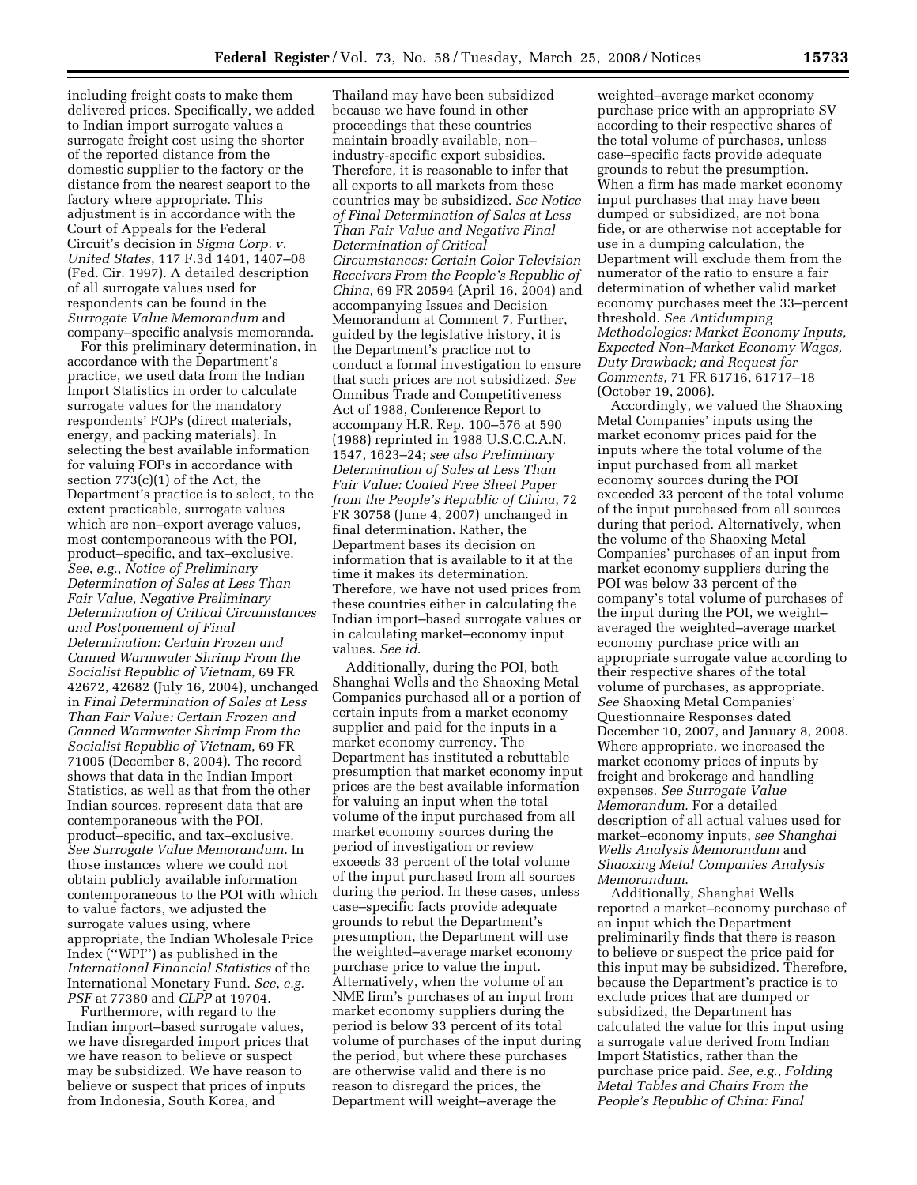including freight costs to make them delivered prices. Specifically, we added to Indian import surrogate values a surrogate freight cost using the shorter of the reported distance from the domestic supplier to the factory or the distance from the nearest seaport to the factory where appropriate. This adjustment is in accordance with the Court of Appeals for the Federal Circuit's decision in *Sigma Corp. v. United States*, 117 F.3d 1401, 1407–08 (Fed. Cir. 1997). A detailed description of all surrogate values used for respondents can be found in the *Surrogate Value Memorandum* and company–specific analysis memoranda.

For this preliminary determination, in accordance with the Department's practice, we used data from the Indian Import Statistics in order to calculate surrogate values for the mandatory respondents' FOPs (direct materials, energy, and packing materials). In selecting the best available information for valuing FOPs in accordance with section 773(c)(1) of the Act, the Department's practice is to select, to the extent practicable, surrogate values which are non–export average values, most contemporaneous with the POI, product–specific, and tax–exclusive. *See*, *e.g.*, *Notice of Preliminary Determination of Sales at Less Than Fair Value, Negative Preliminary Determination of Critical Circumstances and Postponement of Final Determination: Certain Frozen and Canned Warmwater Shrimp From the Socialist Republic of Vietnam*, 69 FR 42672, 42682 (July 16, 2004), unchanged in *Final Determination of Sales at Less Than Fair Value: Certain Frozen and Canned Warmwater Shrimp From the Socialist Republic of Vietnam*, 69 FR 71005 (December 8, 2004). The record shows that data in the Indian Import Statistics, as well as that from the other Indian sources, represent data that are contemporaneous with the POI, product–specific, and tax–exclusive. *See Surrogate Value Memorandum*. In those instances where we could not obtain publicly available information contemporaneous to the POI with which to value factors, we adjusted the surrogate values using, where appropriate, the Indian Wholesale Price Index (''WPI'') as published in the *International Financial Statistics* of the International Monetary Fund. *See*, *e.g. PSF* at 77380 and *CLPP* at 19704.

Furthermore, with regard to the Indian import–based surrogate values, we have disregarded import prices that we have reason to believe or suspect may be subsidized. We have reason to believe or suspect that prices of inputs from Indonesia, South Korea, and

Thailand may have been subsidized because we have found in other proceedings that these countries maintain broadly available, non– industry-specific export subsidies. Therefore, it is reasonable to infer that all exports to all markets from these countries may be subsidized. *See Notice of Final Determination of Sales at Less Than Fair Value and Negative Final Determination of Critical Circumstances: Certain Color Television Receivers From the People's Republic of China*, 69 FR 20594 (April 16, 2004) and accompanying Issues and Decision Memorandum at Comment 7. Further, guided by the legislative history, it is the Department's practice not to conduct a formal investigation to ensure that such prices are not subsidized. *See*  Omnibus Trade and Competitiveness Act of 1988, Conference Report to accompany H.R. Rep. 100–576 at 590 (1988) reprinted in 1988 U.S.C.C.A.N. 1547, 1623–24; *see also Preliminary Determination of Sales at Less Than Fair Value: Coated Free Sheet Paper from the People's Republic of China*, 72 FR 30758 (June 4, 2007) unchanged in final determination. Rather, the Department bases its decision on information that is available to it at the time it makes its determination. Therefore, we have not used prices from these countries either in calculating the Indian import–based surrogate values or in calculating market–economy input values. *See id*.

Additionally, during the POI, both Shanghai Wells and the Shaoxing Metal Companies purchased all or a portion of certain inputs from a market economy supplier and paid for the inputs in a market economy currency. The Department has instituted a rebuttable presumption that market economy input prices are the best available information for valuing an input when the total volume of the input purchased from all market economy sources during the period of investigation or review exceeds 33 percent of the total volume of the input purchased from all sources during the period. In these cases, unless case–specific facts provide adequate grounds to rebut the Department's presumption, the Department will use the weighted–average market economy purchase price to value the input. Alternatively, when the volume of an NME firm's purchases of an input from market economy suppliers during the period is below 33 percent of its total volume of purchases of the input during the period, but where these purchases are otherwise valid and there is no reason to disregard the prices, the Department will weight–average the

weighted–average market economy purchase price with an appropriate SV according to their respective shares of the total volume of purchases, unless case–specific facts provide adequate grounds to rebut the presumption. When a firm has made market economy input purchases that may have been dumped or subsidized, are not bona fide, or are otherwise not acceptable for use in a dumping calculation, the Department will exclude them from the numerator of the ratio to ensure a fair determination of whether valid market economy purchases meet the 33–percent threshold. *See Antidumping Methodologies: Market Economy Inputs, Expected Non–Market Economy Wages, Duty Drawback; and Request for Comments*, 71 FR 61716, 61717–18 (October 19, 2006).

Accordingly, we valued the Shaoxing Metal Companies' inputs using the market economy prices paid for the inputs where the total volume of the input purchased from all market economy sources during the POI exceeded 33 percent of the total volume of the input purchased from all sources during that period. Alternatively, when the volume of the Shaoxing Metal Companies' purchases of an input from market economy suppliers during the POI was below 33 percent of the company's total volume of purchases of the input during the POI, we weight– averaged the weighted–average market economy purchase price with an appropriate surrogate value according to their respective shares of the total volume of purchases, as appropriate. *See* Shaoxing Metal Companies' Questionnaire Responses dated December 10, 2007, and January 8, 2008. Where appropriate, we increased the market economy prices of inputs by freight and brokerage and handling expenses. *See Surrogate Value Memorandum*. For a detailed description of all actual values used for market–economy inputs, *see Shanghai Wells Analysis Memorandum* and *Shaoxing Metal Companies Analysis Memorandum*.

Additionally, Shanghai Wells reported a market–economy purchase of an input which the Department preliminarily finds that there is reason to believe or suspect the price paid for this input may be subsidized. Therefore, because the Department's practice is to exclude prices that are dumped or subsidized, the Department has calculated the value for this input using a surrogate value derived from Indian Import Statistics, rather than the purchase price paid. *See*, *e.g.*, *Folding Metal Tables and Chairs From the People's Republic of China: Final*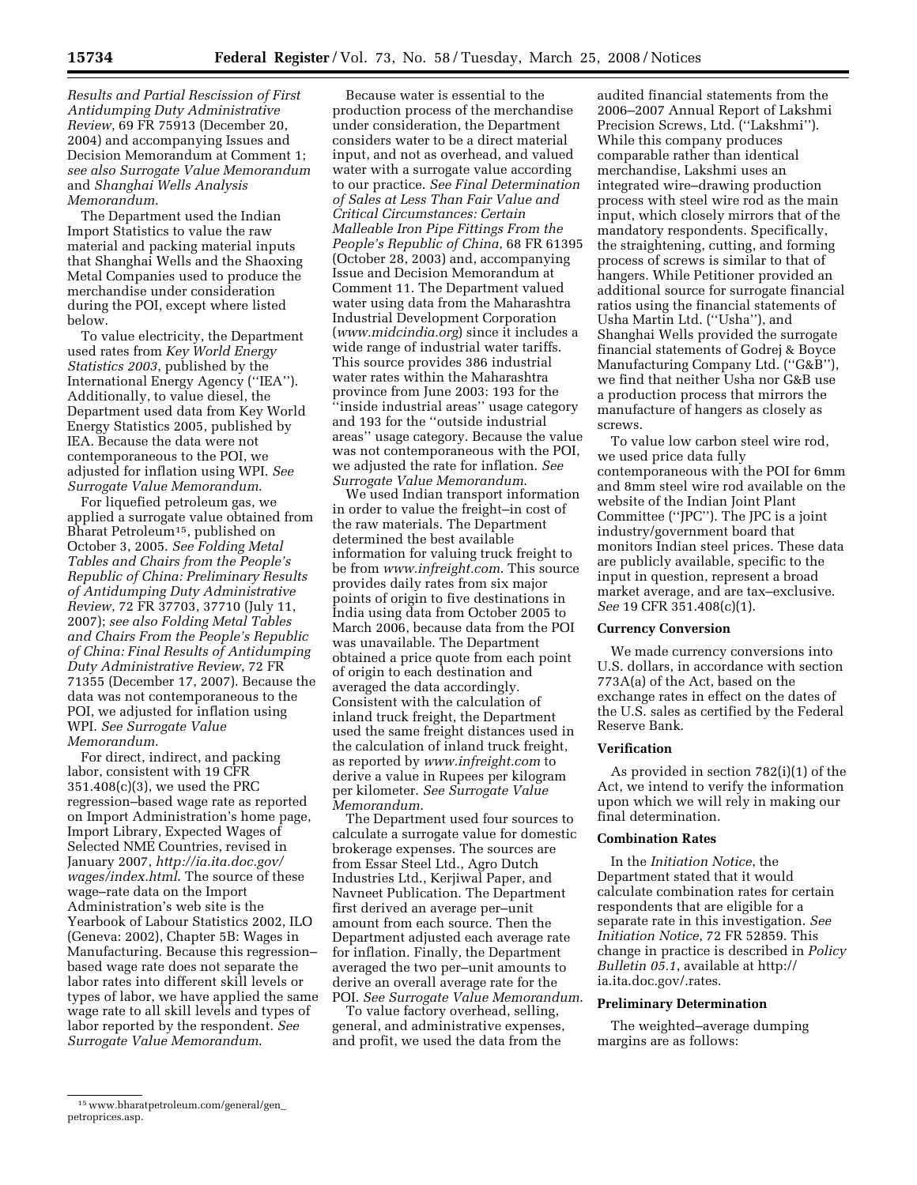*Results and Partial Rescission of First Antidumping Duty Administrative Review*, 69 FR 75913 (December 20, 2004) and accompanying Issues and Decision Memorandum at Comment 1; *see also Surrogate Value Memorandum*  and *Shanghai Wells Analysis Memorandum*.

The Department used the Indian Import Statistics to value the raw material and packing material inputs that Shanghai Wells and the Shaoxing Metal Companies used to produce the merchandise under consideration during the POI, except where listed below.

To value electricity, the Department used rates from *Key World Energy Statistics 2003*, published by the International Energy Agency (''IEA''). Additionally, to value diesel, the Department used data from Key World Energy Statistics 2005, published by IEA. Because the data were not contemporaneous to the POI, we adjusted for inflation using WPI. *See Surrogate Value Memorandum*.

For liquefied petroleum gas, we applied a surrogate value obtained from Bharat Petroleum15, published on October 3, 2005. *See Folding Metal Tables and Chairs from the People's Republic of China: Preliminary Results of Antidumping Duty Administrative Review*, 72 FR 37703, 37710 (July 11, 2007); *see also Folding Metal Tables and Chairs From the People's Republic of China: Final Results of Antidumping Duty Administrative Review*, 72 FR 71355 (December 17, 2007). Because the data was not contemporaneous to the POI, we adjusted for inflation using WPI. *See Surrogate Value Memorandum*.

For direct, indirect, and packing labor, consistent with 19 CFR 351.408(c)(3), we used the PRC regression–based wage rate as reported on Import Administration's home page, Import Library, Expected Wages of Selected NME Countries, revised in January 2007, *http://ia.ita.doc.gov/ wages/index.html*. The source of these wage–rate data on the Import Administration's web site is the Yearbook of Labour Statistics 2002, ILO (Geneva: 2002), Chapter 5B: Wages in Manufacturing. Because this regression– based wage rate does not separate the labor rates into different skill levels or types of labor, we have applied the same wage rate to all skill levels and types of labor reported by the respondent. *See Surrogate Value Memorandum*.

Because water is essential to the production process of the merchandise under consideration, the Department considers water to be a direct material input, and not as overhead, and valued water with a surrogate value according to our practice. *See Final Determination of Sales at Less Than Fair Value and Critical Circumstances: Certain Malleable Iron Pipe Fittings From the People's Republic of China*, 68 FR 61395 (October 28, 2003) and, accompanying Issue and Decision Memorandum at Comment 11. The Department valued water using data from the Maharashtra Industrial Development Corporation (*www.midcindia.org*) since it includes a wide range of industrial water tariffs. This source provides 386 industrial water rates within the Maharashtra province from June 2003: 193 for the ''inside industrial areas'' usage category and 193 for the ''outside industrial areas'' usage category. Because the value was not contemporaneous with the POI, we adjusted the rate for inflation. *See Surrogate Value Memorandum*.

We used Indian transport information in order to value the freight–in cost of the raw materials. The Department determined the best available information for valuing truck freight to be from *www.infreight.com*. This source provides daily rates from six major points of origin to five destinations in India using data from October 2005 to March 2006, because data from the POI was unavailable. The Department obtained a price quote from each point of origin to each destination and averaged the data accordingly. Consistent with the calculation of inland truck freight, the Department used the same freight distances used in the calculation of inland truck freight, as reported by *www.infreight.com* to derive a value in Rupees per kilogram per kilometer. *See Surrogate Value Memorandum*.

The Department used four sources to calculate a surrogate value for domestic brokerage expenses. The sources are from Essar Steel Ltd., Agro Dutch Industries Ltd., Kerjiwal Paper, and Navneet Publication. The Department first derived an average per–unit amount from each source. Then the Department adjusted each average rate for inflation. Finally, the Department averaged the two per–unit amounts to derive an overall average rate for the POI. *See Surrogate Value Memorandum*.

To value factory overhead, selling, general, and administrative expenses, and profit, we used the data from the

audited financial statements from the 2006–2007 Annual Report of Lakshmi Precision Screws, Ltd. (''Lakshmi''). While this company produces comparable rather than identical merchandise, Lakshmi uses an integrated wire–drawing production process with steel wire rod as the main input, which closely mirrors that of the mandatory respondents. Specifically, the straightening, cutting, and forming process of screws is similar to that of hangers. While Petitioner provided an additional source for surrogate financial ratios using the financial statements of Usha Martin Ltd. (''Usha''), and Shanghai Wells provided the surrogate financial statements of Godrej & Boyce Manufacturing Company Ltd. ("G&B"), we find that neither Usha nor G&B use a production process that mirrors the manufacture of hangers as closely as screws.

To value low carbon steel wire rod, we used price data fully contemporaneous with the POI for 6mm and 8mm steel wire rod available on the website of the Indian Joint Plant Committee (''JPC''). The JPC is a joint industry/government board that monitors Indian steel prices. These data are publicly available, specific to the input in question, represent a broad market average, and are tax–exclusive. *See* 19 CFR 351.408(c)(1).

## **Currency Conversion**

We made currency conversions into U.S. dollars, in accordance with section 773A(a) of the Act, based on the exchange rates in effect on the dates of the U.S. sales as certified by the Federal Reserve Bank.

#### **Verification**

As provided in section 782(i)(1) of the Act, we intend to verify the information upon which we will rely in making our final determination.

# **Combination Rates**

In the *Initiation Notice*, the Department stated that it would calculate combination rates for certain respondents that are eligible for a separate rate in this investigation. *See Initiation Notice*, 72 FR 52859. This change in practice is described in *Policy Bulletin 05.1*, available at http:// ia.ita.doc.gov/.rates.

## **Preliminary Determination**

The weighted–average dumping margins are as follows:

<sup>15</sup> www.bharatpetroleum.com/general/gen\_ petroprices.asp.